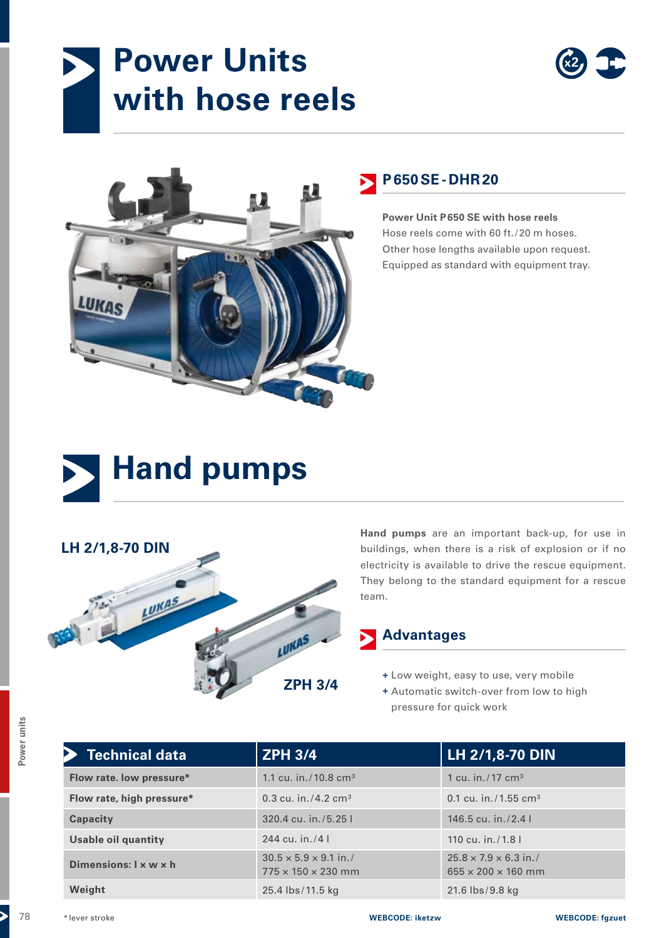# **Power Units with hose reels**





## **P650SE- DHR20**

**Power Unit P650 SE with hose reels** Hose reels come with 60 ft./20 m hoses. Other hose lengths available upon request. Equipped as standard with equipment tray.





**Hand pumps** are an important back-up, for use in buildings, when there is a risk of explosion or if no electricity is available to drive the rescue equipment. They belong to the standard equipment for a rescue team.

### **Advantages**

**+** Low weight, easy to use, very mobile

**+** Automatic switch-over from low to high pressure for quick work

| <b>Technical data</b>             | <b>ZPH 3/4</b>                                                      | LH 2/1,8-70 DIN                                                     |
|-----------------------------------|---------------------------------------------------------------------|---------------------------------------------------------------------|
| Flow rate. low pressure*          | 1.1 cu. in./10.8 cm <sup>3</sup>                                    | 1 cu. in. $/17$ cm <sup>3</sup>                                     |
| Flow rate, high pressure*         | 0.3 cu. in./4.2 cm <sup>3</sup>                                     | 0.1 cu. in. $/1.55$ cm <sup>3</sup>                                 |
| Capacity                          | 320.4 cu. in./5.25 l                                                | 146.5 cu. in. $/2.4$ l                                              |
| <b>Usable oil quantity</b>        | 244 cu. in./4 $\mid$                                                | 110 cu. in./1.8 l                                                   |
| Dimensions: $1 \times w \times h$ | $30.5 \times 5.9 \times 9.1$ in./<br>$775 \times 150 \times 230$ mm | $25.8 \times 7.9 \times 6.3$ in./<br>$655 \times 200 \times 160$ mm |
| Weight                            | 25.4 lbs/11.5 kg                                                    | 21.6 lbs/9.8 kg                                                     |
| *lever stroke                     | <b>WEBCODE: iketzw</b>                                              | <b>WEBCODE: fgzuet</b>                                              |